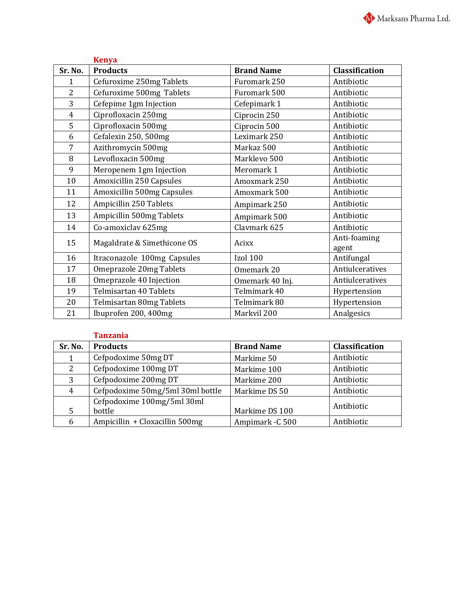|                | <b>Kenya</b>                   |                   |                       |
|----------------|--------------------------------|-------------------|-----------------------|
| Sr. No.        | <b>Products</b>                | <b>Brand Name</b> | <b>Classification</b> |
| 1              | Cefuroxime 250mg Tablets       | Furomark 250      | Antibiotic            |
| $\overline{2}$ | Cefuroxime 500mg Tablets       | Furomark 500      | Antibiotic            |
| 3              | Cefepime 1gm Injection         | Cefepimark 1      | Antibiotic            |
| $\overline{4}$ | Ciprofloxacin 250mg            | Ciprocin 250      | Antibiotic            |
| 5              | Ciprofloxacin 500mg            | Ciprocin 500      | Antibiotic            |
| 6              | Cefalexin 250, 500mg           | Leximark 250      | Antibiotic            |
| 7              | Azithromycin 500mg             | Markaz 500        | Antibiotic            |
| $\, 8$         | Levofloxacin 500mg             | Marklevo 500      | Antibiotic            |
| 9              | Meropenem 1gm Injection        | Meromark 1        | Antibiotic            |
| 10             | Amoxicillin 250 Capsules       | Amoxmark 250      | Antibiotic            |
| 11             | Amoxicillin 500mg Capsules     | Amoxmark 500      | Antibiotic            |
| 12             | Ampicillin 250 Tablets         | Ampimark 250      | Antibiotic            |
| 13             | Ampicillin 500mg Tablets       | Ampimark 500      | Antibiotic            |
| 14             | Co-amoxiclav 625mg             | Clavmark 625      | Antibiotic            |
| 15             | Magaldrate & Simethicone OS    | Acixx             | Anti-foaming          |
|                |                                |                   | agent                 |
| 16             | Itraconazole 100mg Capsules    | Izol 100          | Antifungal            |
| 17             | <b>Omeprazole 20mg Tablets</b> | Omemark 20        | Antiulceratives       |
| 18             | Omeprazole 40 Injection        | Omemark 40 Inj.   | Antiulceratives       |
| 19             | Telmisartan 40 Tablets         | Telmimark 40      | Hypertension          |
| 20             | Telmisartan 80mg Tablets       | Telmimark 80      | Hypertension          |
| 21             | Ibuprofen 200, 400mg           | Markvil 200       | Analgesics            |

Marksans Pharma Ltd.

## **Tanzania**

| Sr. No. | <b>Products</b>                  | <b>Brand Name</b> | Classification |
|---------|----------------------------------|-------------------|----------------|
|         | Cefpodoxime 50mg DT              | Markime 50        | Antibiotic     |
| 2       | Cefpodoxime 100mg DT             | Markime 100       | Antibiotic     |
| 3       | Cefpodoxime 200mg DT             | Markime 200       | Antibiotic     |
| 4       | Cefpodoxime 50mg/5ml 30ml bottle | Markime DS 50     | Antibiotic     |
|         | Cefpodoxime 100mg/5ml 30ml       |                   | Antibiotic     |
|         | bottle                           | Markime DS 100    |                |
| 6       | Ampicillin + Cloxacillin 500mg   | Ampimark - C 500  | Antibiotic     |